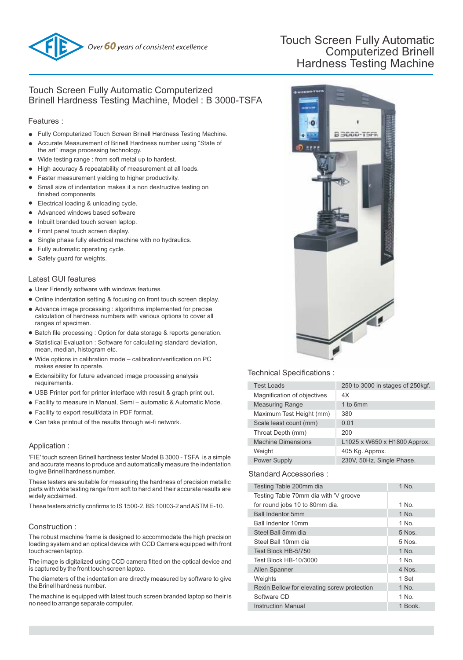

# Touch Screen Fully Automatic Computerized Brinell Hardness Testing Machine

## Touch Screen Fully Automatic Computerized Brinell Hardness Testing Machine, Model : B 3000-TSFA

#### Features :

- Fully Computerized Touch Screen Brinell Hardness Testing Machine.
- Accurate Measurement of Brinell Hardness number using "State of the art" image processing technology.
- Wide testing range : from soft metal up to hardest.
- High accuracy & repeatability of measurement at all loads.
- Faster measurement yielding to higher productivity.
- Small size of indentation makes it a non destructive testing on finished components.
- Electrical loading & unloading cycle.
- Advanced windows based software  $\bullet$
- Inbuilt branded touch screen laptop.
- Front panel touch screen display.
- Single phase fully electrical machine with no hydraulics.
- Fully automatic operating cycle.
- Safety guard for weights.

#### Latest GUI features

- User Friendly software with windows features.
- Online indentation setting & focusing on front touch screen display.
- Advance image processing : algorithms implemented for precise calculation of hardness numbers with various options to cover all ranges of specimen.
- Batch file processing : Option for data storage & reports generation.
- Statistical Evaluation : Software for calculating standard deviation, mean, median, histogram etc.
- Wide options in calibration mode calibration/verification on PC makes easier to operate.
- Extensibility for future advanced image processing analysis requirements.
- USB Printer port for printer interface with result & graph print out.
- Facility to measure in Manual, Semi automatic & Automatic Mode.
- Facility to export result/data in PDF format.
- Can take printout of the results through wi-fi network.

## Application :

'FIE' touch screen Brinell hardness tester Model B 3000 - TSFA is a simple and accurate means to produce and automatically measure the indentation to give Brinell hardness number.

These testers are suitable for measuring the hardness of precision metallic parts with wide testing range from soft to hard and their accurate results are widely acclaimed.

These testers strictly confirms to IS 1500-2, BS:10003-2 and ASTM E-10.

## Construction :

The robust machine frame is designed to accommodate the high precision loading system and an optical device with CCD Camera equipped with front touch screen laptop.

The image is digitalized using CCD camera fitted on the optical device and is captured by the front touch screen laptop.

The diameters of the indentation are directly measured by software to give the Brinell hardness number.

The machine is equipped with latest touch screen branded laptop so their is no need to arrange separate computer.



## Technical Specifications :

| <b>Test Loads</b>           | 250 to 3000 in stages of 250kgf. |
|-----------------------------|----------------------------------|
| Magnification of objectives | 4X                               |
| <b>Measuring Range</b>      | 1 to 6mm                         |
| Maximum Test Height (mm)    | 380                              |
| Scale least count (mm)      | 0.01                             |
| Throat Depth (mm)           | 200                              |
| <b>Machine Dimensions</b>   | L1025 x W650 x H1800 Approx.     |
| Weight                      | 405 Kg. Approx.                  |
| <b>Power Supply</b>         | 230V, 50Hz, Single Phase.        |
|                             |                                  |

#### Standard Accessories :

| Testing Table 200mm dia                     | 1 No.    |
|---------------------------------------------|----------|
| Testing Table 70mm dia with 'V groove       |          |
| for round jobs 10 to 80mm dia.              | 1 No.    |
| <b>Ball Indentor 5mm</b>                    | 1 No.    |
| <b>Ball Indentor 10mm</b>                   | 1 No.    |
| Steel Ball 5mm dia                          | $5$ Nos. |
| Steel Ball 10mm dia                         | 5 Nos.   |
| Test Block HB-5/750                         | 1 No.    |
| Test Block HB-10/3000                       | 1 No.    |
| Allen Spanner                               | $4$ Nos. |
| Weights                                     | 1 Set    |
| Rexin Bellow for elevating screw protection | 1 No.    |
| Software CD                                 | 1 No.    |
| <b>Instruction Manual</b>                   | 1 Book.  |